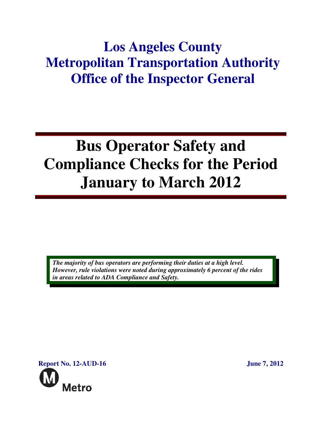## **Los Angeles County Metropolitan Transportation Authority Office of the Inspector General**

# **Bus Operator Safety and Compliance Checks for the Period January to March 2012**

*The majority of bus operators are performing their duties at a high level. However, rule violations were noted during approximately 6 percent of the rides in areas related to ADA Compliance and Safety.* 

**Report No. 12-AUD-16** June 7, 2012 Metro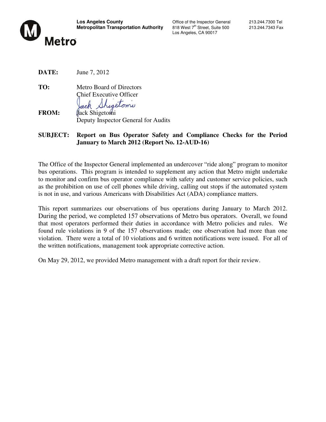

Los Angeles, CA 90017

**DATE:** June 7, 2012

**TO:** Metro Board of Directors Chief Executive Officer higetomi ack

**FROM:** Jack Shigetomi Deputy Inspector General for Audits

**SUBJECT: Report on Bus Operator Safety and Compliance Checks for the Period January to March 2012 (Report No. 12-AUD-16)**

The Office of the Inspector General implemented an undercover "ride along" program to monitor bus operations. This program is intended to supplement any action that Metro might undertake to monitor and confirm bus operator compliance with safety and customer service policies, such as the prohibition on use of cell phones while driving, calling out stops if the automated system is not in use, and various Americans with Disabilities Act (ADA) compliance matters.

This report summarizes our observations of bus operations during January to March 2012. During the period, we completed 157 observations of Metro bus operators. Overall, we found that most operators performed their duties in accordance with Metro policies and rules. We found rule violations in 9 of the 157 observations made; one observation had more than one violation. There were a total of 10 violations and 6 written notifications were issued. For all of the written notifications, management took appropriate corrective action.

On May 29, 2012, we provided Metro management with a draft report for their review.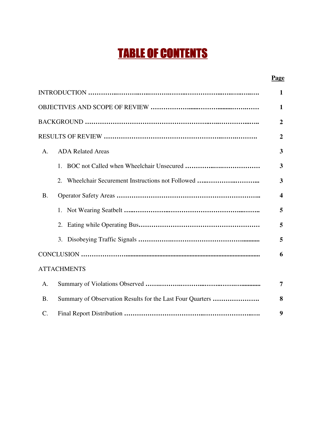## TABLE OF CONTENTS

#### **Page**

|                 |                                                           | $\mathbf{1}$            |
|-----------------|-----------------------------------------------------------|-------------------------|
|                 |                                                           | $\mathbf{1}$            |
|                 |                                                           | $\overline{2}$          |
|                 |                                                           | $\overline{2}$          |
| A.              | <b>ADA Related Areas</b>                                  | $\overline{\mathbf{3}}$ |
|                 | 1.                                                        | $\overline{\mathbf{3}}$ |
|                 | 2.                                                        | $\overline{\mathbf{3}}$ |
| <b>B.</b>       |                                                           | $\overline{\mathbf{4}}$ |
|                 | 1.                                                        | 5                       |
|                 | 2.                                                        | 5                       |
|                 | 3.                                                        | 5                       |
|                 |                                                           | 6                       |
|                 | <b>ATTACHMENTS</b>                                        |                         |
| A.              |                                                           | $\overline{7}$          |
| <b>B.</b>       | Summary of Observation Results for the Last Four Quarters | 8                       |
| $\mathcal{C}$ . |                                                           | 9                       |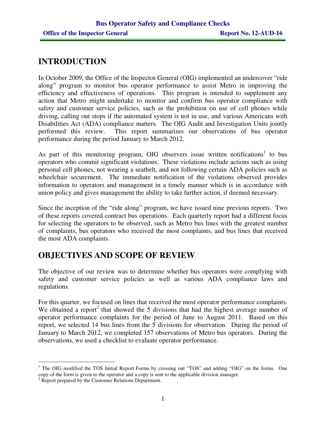## **INTRODUCTION**

In October 2009, the Office of the Inspector General (OIG) implemented an undercover "ride along" program to monitor bus operator performance to assist Metro in improving the efficiency and effectiveness of operations. This program is intended to supplement any action that Metro might undertake to monitor and confirm bus operator compliance with safety and customer service policies, such as the prohibition on use of cell phones while driving, calling out stops if the automated system is not in use, and various Americans with Disabilities Act (ADA) compliance matters. The OIG Audit and Investigation Units jointly performed this review. This report summarizes our observations of bus operator performance during the period January to March 2012.

As part of this monitoring program, OIG observers issue written notifications<sup>1</sup> to bus operators who commit significant violations. These violations include actions such as using personal cell phones, not wearing a seatbelt, and not following certain ADA policies such as wheelchair securement. The immediate notification of the violations observed provides information to operators and management in a timely manner which is in accordance with union policy and gives management the ability to take further action, if deemed necessary.

Since the inception of the "ride along" program, we have issued nine previous reports. Two of these reports covered contract bus operations. Each quarterly report had a different focus for selecting the operators to be observed, such as Metro bus lines with the greatest number of complaints, bus operators who received the most complaints, and bus lines that received the most ADA complaints.

## **OBJECTIVES AND SCOPE OF REVIEW**

The objective of our review was to determine whether bus operators were complying with safety and customer service policies as well as various ADA compliance laws and regulations.

For this quarter, we focused on lines that received the most operator performance complaints. We obtained a report<sup>2</sup> that showed the 5 divisions that had the highest average number of operator performance complaints for the period of June to August 2011. Based on this report, we selected 14 bus lines from the 5 divisions for observation. During the period of January to March 2012, we completed 157 observations of Metro bus operators. During the observations, we used a checklist to evaluate operator performance.

 $\overline{a}$ <sup>1</sup> The OIG modified the TOS Initial Report Forms by crossing out "TOS" and adding "OIG" on the forms. One copy of the form is given to the operator and a copy is sent to the applicable division manager.

<sup>&</sup>lt;sup>2</sup> Report prepared by the Customer Relations Department.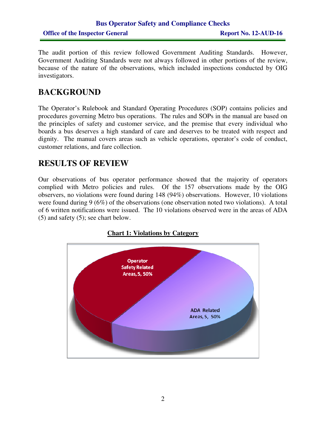### **Bus Operator Safety and Compliance Checks Office of the Inspector General Report No. 12-AUD-16**

The audit portion of this review followed Government Auditing Standards. However, Government Auditing Standards were not always followed in other portions of the review, because of the nature of the observations, which included inspections conducted by OIG investigators.

## **BACKGROUND**

The Operator's Rulebook and Standard Operating Procedures (SOP) contains policies and procedures governing Metro bus operations. The rules and SOPs in the manual are based on the principles of safety and customer service, and the premise that every individual who boards a bus deserves a high standard of care and deserves to be treated with respect and dignity. The manual covers areas such as vehicle operations, operator's code of conduct, customer relations, and fare collection.

### **RESULTS OF REVIEW**

Our observations of bus operator performance showed that the majority of operators complied with Metro policies and rules. Of the 157 observations made by the OIG observers, no violations were found during 148 (94%) observations. However, 10 violations were found during 9 (6%) of the observations (one observation noted two violations). A total of 6 written notifications were issued. The 10 violations observed were in the areas of ADA (5) and safety (5); see chart below.



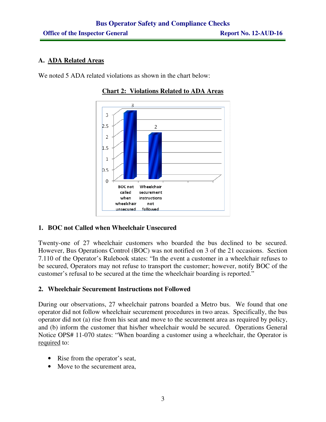#### **A. ADA Related Areas**

We noted 5 ADA related violations as shown in the chart below:



#### **Chart 2: Violations Related to ADA Areas**

#### **1. BOC not Called when Wheelchair Unsecured**

Twenty-one of 27 wheelchair customers who boarded the bus declined to be secured. However, Bus Operations Control (BOC) was not notified on 3 of the 21 occasions. Section 7.110 of the Operator's Rulebook states: "In the event a customer in a wheelchair refuses to be secured, Operators may not refuse to transport the customer; however, notify BOC of the customer's refusal to be secured at the time the wheelchair boarding is reported."

#### **2. Wheelchair Securement Instructions not Followed**

During our observations, 27 wheelchair patrons boarded a Metro bus. We found that one operator did not follow wheelchair securement procedures in two areas. Specifically, the bus operator did not (a) rise from his seat and move to the securement area as required by policy, and (b) inform the customer that his/her wheelchair would be secured. Operations General Notice OPS# 11-070 states: "When boarding a customer using a wheelchair, the Operator is required to:

- Rise from the operator's seat,
- Move to the securement area,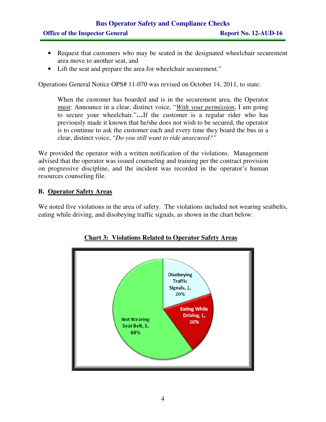## **Bus Operator Safety and Compliance Checks Office of the Inspector General Report No. 12-AUD-16**

- Request that customers who may be seated in the designated wheelchair securement area move to another seat, and
- Lift the seat and prepare the area for wheelchair securement."

Operations General Notice OPS# 11-070 was revised on October 14, 2011, to state:

When the customer has boarded and is in the securement area, the Operator must: Announce in a clear, distinct voice, "*With your permission*, I am going to secure your wheelchair."**…**If the customer is a regular rider who has previously made it known that he/she does not wish to be secured, the operator is to continue to ask the customer each and every time they board the bus in a clear, distinct voice, "*Do you still want to ride unsecured?"* 

We provided the operator with a written notification of the violations. Management advised that the operator was issued counseling and training per the contract provision on progressive discipline, and the incident was recorded in the operator's human resources counseling file.

#### **B. Operator Safety Areas**

We noted five violations in the area of safety. The violations included not wearing seatbelts, eating while driving, and disobeying traffic signals, as shown in the chart below:



**Chart 3: Violations Related to Operator Safety Areas**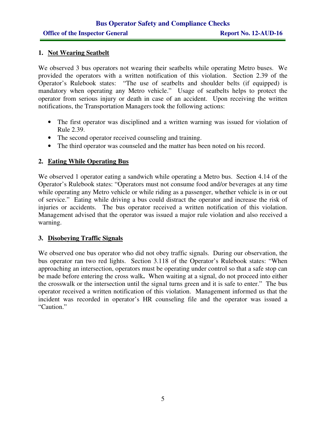#### **1. Not Wearing Seatbelt**

We observed 3 bus operators not wearing their seatbelts while operating Metro buses. We provided the operators with a written notification of this violation. Section 2.39 of the Operator's Rulebook states: "The use of seatbelts and shoulder belts (if equipped) is mandatory when operating any Metro vehicle." Usage of seatbelts helps to protect the operator from serious injury or death in case of an accident. Upon receiving the written notifications, the Transportation Managers took the following actions:

- The first operator was disciplined and a written warning was issued for violation of Rule 2.39.
- The second operator received counseling and training.
- The third operator was counseled and the matter has been noted on his record.

#### **2. Eating While Operating Bus**

We observed 1 operator eating a sandwich while operating a Metro bus. Section 4.14 of the Operator's Rulebook states: "Operators must not consume food and/or beverages at any time while operating any Metro vehicle or while riding as a passenger, whether vehicle is in or out of service." Eating while driving a bus could distract the operator and increase the risk of injuries or accidents. The bus operator received a written notification of this violation. Management advised that the operator was issued a major rule violation and also received a warning.

#### **3. Disobeying Traffic Signals**

We observed one bus operator who did not obey traffic signals. During our observation, the bus operator ran two red lights. Section 3.118 of the Operator's Rulebook states: "When approaching an intersection, operators must be operating under control so that a safe stop can be made before entering the cross walk**.** When waiting at a signal, do not proceed into either the crosswalk or the intersection until the signal turns green and it is safe to enter." The bus operator received a written notification of this violation. Management informed us that the incident was recorded in operator's HR counseling file and the operator was issued a "Caution."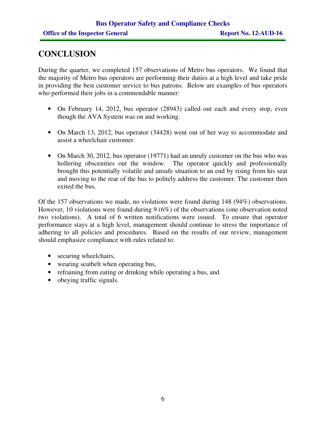## **CONCLUSION**

During the quarter, we completed 157 observations of Metro bus operators. We found that the majority of Metro bus operators are performing their duties at a high level and take pride in providing the best customer service to bus patrons. Below are examples of bus operators who performed their jobs in a commendable manner:

- On February 14, 2012, bus operator (28943) called out each and every stop, even though the AVA System was on and working.
- On March 13, 2012, bus operator (34428) went out of her way to accommodate and assist a wheelchair customer.
- On March 30, 2012, bus operator (19771) had an unruly customer on the bus who was hollering obscenities out the window. The operator quickly and professionally brought this potentially volatile and unsafe situation to an end by rising from his seat and moving to the rear of the bus to politely address the customer. The customer then exited the bus.

Of the 157 observations we made, no violations were found during 148 (94%) observations. However, 10 violations were found during 9 (6%) of the observations (one observation noted two violations). A total of 6 written notifications were issued. To ensure that operator performance stays at a high level, management should continue to stress the importance of adhering to all policies and procedures. Based on the results of our review, management should emphasize compliance with rules related to:

- securing wheelchairs,
- wearing seatbelt when operating bus,
- refraining from eating or drinking while operating a bus, and
- obeying traffic signals.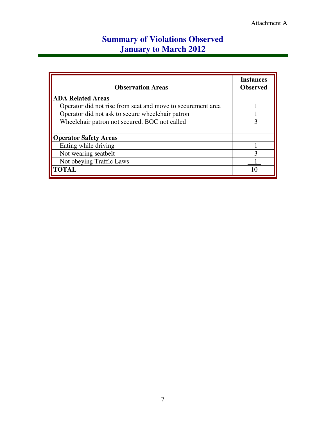## **Summary of Violations Observed January to March 2012**

| <b>Observation Areas</b>                                    | <b>Instances</b><br><b>Observed</b> |
|-------------------------------------------------------------|-------------------------------------|
| <b>ADA Related Areas</b>                                    |                                     |
| Operator did not rise from seat and move to securement area |                                     |
| Operator did not ask to secure wheelchair patron            |                                     |
| Wheelchair patron not secured, BOC not called               | 3                                   |
|                                                             |                                     |
| <b>Operator Safety Areas</b>                                |                                     |
| Eating while driving                                        |                                     |
| Not wearing seatbelt                                        | ζ                                   |
| Not obeying Traffic Laws                                    |                                     |
| <b>TOTAL</b>                                                |                                     |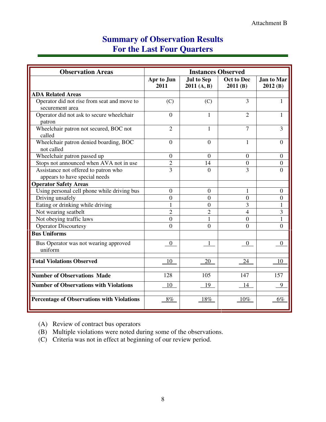## **Summary of Observation Results For the Last Four Quarters**

| <b>Observation Areas</b>                                       | <b>Instances Observed</b> |                                 |                              |                       |
|----------------------------------------------------------------|---------------------------|---------------------------------|------------------------------|-----------------------|
|                                                                | Apr to Jun<br>2011        | <b>Jul to Sep</b><br>2011(A, B) | <b>Oct to Dec</b><br>2011(B) | Jan to Mar<br>2012(B) |
| <b>ADA Related Areas</b>                                       |                           |                                 |                              |                       |
| Operator did not rise from seat and move to<br>securement area | (C)                       | (C)                             | 3                            | 1                     |
| Operator did not ask to secure wheelchair<br>patron            | $\overline{0}$            | 1                               | $\overline{2}$               | 1                     |
| Wheelchair patron not secured, BOC not<br>called               | $\overline{2}$            | 1                               | $\overline{7}$               | 3                     |
| Wheelchair patron denied boarding, BOC<br>not called           | $\boldsymbol{0}$          | $\overline{0}$                  | 1                            | $\Omega$              |
| Wheelchair patron passed up                                    | $\boldsymbol{0}$          | $\overline{0}$                  | $\overline{0}$               | $\overline{0}$        |
| Stops not announced when AVA not in use                        | $\overline{c}$            | 14                              | $\overline{0}$               | $\Omega$              |
| Assistance not offered to patron who                           | $\overline{3}$            | $\Omega$                        | 3                            | $\Omega$              |
| appears to have special needs                                  |                           |                                 |                              |                       |
| <b>Operator Safety Areas</b>                                   |                           |                                 |                              |                       |
| Using personal cell phone while driving bus                    | $\boldsymbol{0}$          | $\overline{0}$                  | 1                            | $\overline{0}$        |
| Driving unsafely                                               | $\theta$                  | $\Omega$                        | $\overline{0}$               | $\Omega$              |
| Eating or drinking while driving                               | 1                         | $\Omega$                        | 3                            | 1                     |
| Not wearing seatbelt                                           | $\overline{2}$            | $\overline{2}$                  | 4                            | 3                     |
| Not obeying traffic laws                                       | $\overline{0}$            | $\mathbf{1}$                    | $\overline{0}$               | 1                     |
| <b>Operator Discourtesy</b>                                    | $\overline{0}$            | $\theta$                        | $\theta$                     | $\Omega$              |
| <b>Bus Uniforms</b>                                            |                           |                                 |                              |                       |
| Bus Operator was not wearing approved<br>uniform               | $\mathbf{0}$              | 1                               | $\boldsymbol{0}$             | $\overline{0}$        |
| <b>Total Violations Observed</b>                               | 10                        | 20                              | 24                           | 10                    |
| <b>Number of Observations Made</b>                             | 128                       | 105                             | 147                          | 157                   |
| <b>Number of Observations with Violations</b>                  | 10                        | 19                              | 14                           | 9                     |
| <b>Percentage of Observations with Violations</b>              | $8\%$                     | 18%                             | $10\%$                       | 6%                    |

(A) Review of contract bus operators

(B) Multiple violations were noted during some of the observations.

(C) Criteria was not in effect at beginning of our review period.